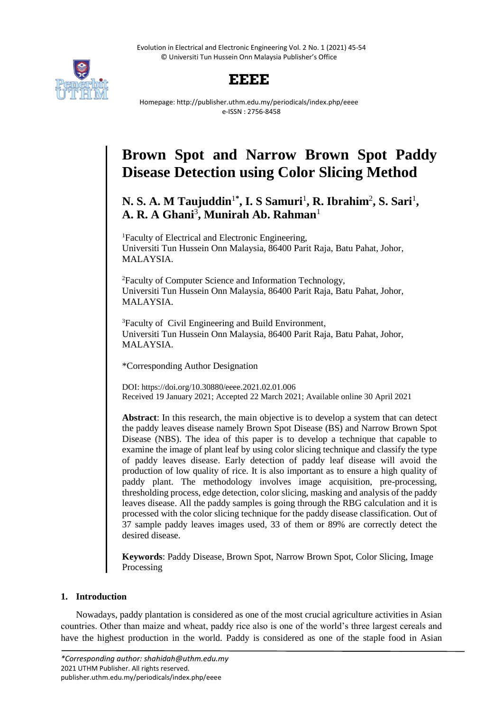Evolution in Electrical and Electronic Engineering Vol. 2 No. 1 (2021) 45-54 © Universiti Tun Hussein Onn Malaysia Publisher's Office



# **EEEE**

Homepage: http://publisher.uthm.edu.my/periodicals/index.php/eeee e-ISSN : 2756-8458

# **Brown Spot and Narrow Brown Spot Paddy Disease Detection using Color Slicing Method**

# N. S. A. M Taujuddin<sup>1\*</sup>, I. S Samuri<sup>1</sup>, R. Ibrahim<sup>2</sup>, S. Sari<sup>1</sup>, **A. R. A Ghani**<sup>3</sup> **, Munirah Ab. Rahman**<sup>1</sup>

<sup>1</sup>Faculty of Electrical and Electronic Engineering, Universiti Tun Hussein Onn Malaysia, 86400 Parit Raja, Batu Pahat, Johor, MALAYSIA.

<sup>2</sup>Faculty of Computer Science and Information Technology, Universiti Tun Hussein Onn Malaysia, 86400 Parit Raja, Batu Pahat, Johor, MALAYSIA.

<sup>3</sup>Faculty of Civil Engineering and Build Environment, Universiti Tun Hussein Onn Malaysia, 86400 Parit Raja, Batu Pahat, Johor, MALAYSIA.

\*Corresponding Author Designation

DOI: https://doi.org/10.30880/eeee.2021.02.01.006 Received 19 January 2021; Accepted 22 March 2021; Available online 30 April 2021

**Abstract**: In this research, the main objective is to develop a system that can detect the paddy leaves disease namely Brown Spot Disease (BS) and Narrow Brown Spot Disease (NBS). The idea of this paper is to develop a technique that capable to examine the image of plant leaf by using color slicing technique and classify the type of paddy leaves disease. Early detection of paddy leaf disease will avoid the production of low quality of rice. It is also important as to ensure a high quality of paddy plant. The methodology involves image acquisition, pre-processing, thresholding process, edge detection, color slicing, masking and analysis of the paddy leaves disease. All the paddy samples is going through the RBG calculation and it is processed with the color slicing technique for the paddy disease classification. Out of 37 sample paddy leaves images used, 33 of them or 89% are correctly detect the desired disease.

**Keywords**: Paddy Disease, Brown Spot, Narrow Brown Spot, Color Slicing, Image Processing

# **1. Introduction**

Nowadays, paddy plantation is considered as one of the most crucial agriculture activities in Asian countries. Other than maize and wheat, paddy rice also is one of the world's three largest cereals and have the highest production in the world. Paddy is considered as one of the staple food in Asian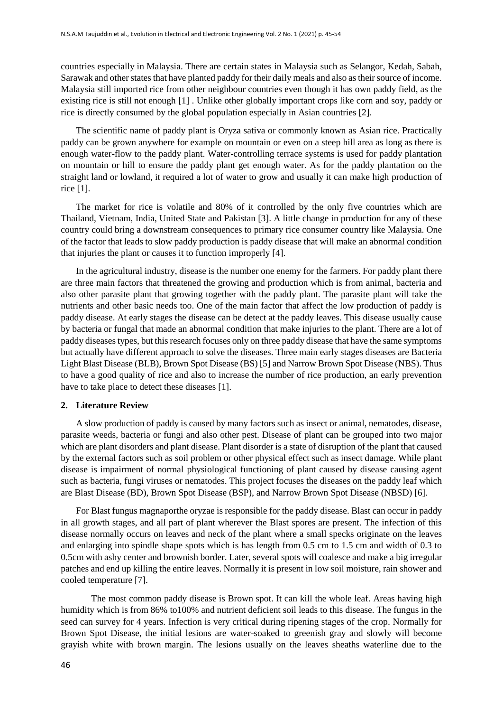countries especially in Malaysia. There are certain states in Malaysia such as Selangor, Kedah, Sabah, Sarawak and other states that have planted paddy for their daily meals and also as their source of income. Malaysia still imported rice from other neighbour countries even though it has own paddy field, as the existing rice is still not enough [1] . Unlike other globally important crops like corn and soy, paddy or rice is directly consumed by the global population especially in Asian countries [2].

The scientific name of paddy plant is Oryza sativa or commonly known as Asian rice. Practically paddy can be grown anywhere for example on mountain or even on a steep hill area as long as there is enough water-flow to the paddy plant. Water-controlling terrace systems is used for paddy plantation on mountain or hill to ensure the paddy plant get enough water. As for the paddy plantation on the straight land or lowland, it required a lot of water to grow and usually it can make high production of rice [1].

The market for rice is volatile and 80% of it controlled by the only five countries which are Thailand, Vietnam, India, United State and Pakistan [3]. A little change in production for any of these country could bring a downstream consequences to primary rice consumer country like Malaysia. One of the factor that leads to slow paddy production is paddy disease that will make an abnormal condition that injuries the plant or causes it to function improperly [4].

In the agricultural industry, disease is the number one enemy for the farmers. For paddy plant there are three main factors that threatened the growing and production which is from animal, bacteria and also other parasite plant that growing together with the paddy plant. The parasite plant will take the nutrients and other basic needs too. One of the main factor that affect the low production of paddy is paddy disease. At early stages the disease can be detect at the paddy leaves. This disease usually cause by bacteria or fungal that made an abnormal condition that make injuries to the plant. There are a lot of paddy diseases types, but this research focuses only on three paddy disease that have the same symptoms but actually have different approach to solve the diseases. Three main early stages diseases are Bacteria Light Blast Disease (BLB), Brown Spot Disease (BS) [5] and Narrow Brown Spot Disease (NBS). Thus to have a good quality of rice and also to increase the number of rice production, an early prevention have to take place to detect these diseases [1].

#### **2. Literature Review**

A slow production of paddy is caused by many factors such as insect or animal, nematodes, disease, parasite weeds, bacteria or fungi and also other pest. Disease of plant can be grouped into two major which are plant disorders and plant disease. Plant disorder is a state of disruption of the plant that caused by the external factors such as soil problem or other physical effect such as insect damage. While plant disease is impairment of normal physiological functioning of plant caused by disease causing agent such as bacteria, fungi viruses or nematodes. This project focuses the diseases on the paddy leaf which are Blast Disease (BD), Brown Spot Disease (BSP), and Narrow Brown Spot Disease (NBSD) [6].

For Blast fungus magnaporthe oryzae is responsible for the paddy disease. Blast can occur in paddy in all growth stages, and all part of plant wherever the Blast spores are present. The infection of this disease normally occurs on leaves and neck of the plant where a small specks originate on the leaves and enlarging into spindle shape spots which is has length from 0.5 cm to 1.5 cm and width of 0.3 to 0.5cm with ashy center and brownish border. Later, several spots will coalesce and make a big irregular patches and end up killing the entire leaves. Normally it is present in low soil moisture, rain shower and cooled temperature [7].

The most common paddy disease is Brown spot. It can kill the whole leaf. Areas having high humidity which is from 86% to100% and nutrient deficient soil leads to this disease. The fungus in the seed can survey for 4 years. Infection is very critical during ripening stages of the crop. Normally for Brown Spot Disease, the initial lesions are water-soaked to greenish gray and slowly will become grayish white with brown margin. The lesions usually on the leaves sheaths waterline due to the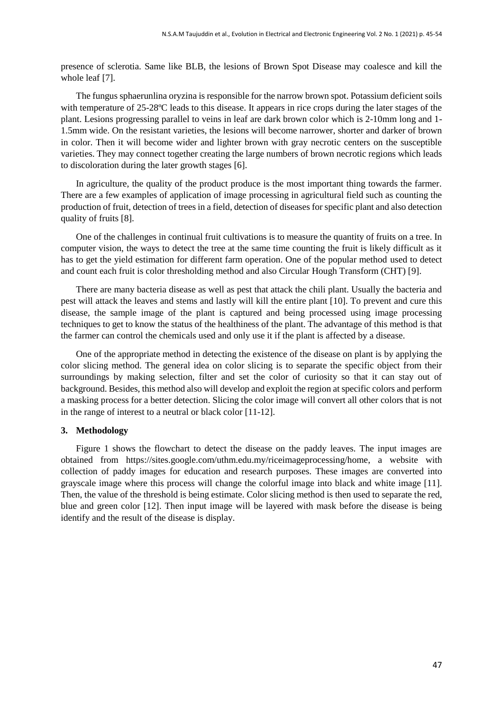presence of sclerotia. Same like BLB, the lesions of Brown Spot Disease may coalesce and kill the whole leaf [7].

The fungus sphaerunlina oryzina is responsible for the narrow brown spot. Potassium deficient soils with temperature of 25-28°C leads to this disease. It appears in rice crops during the later stages of the plant. Lesions progressing parallel to veins in leaf are dark brown color which is 2-10mm long and 1- 1.5mm wide. On the resistant varieties, the lesions will become narrower, shorter and darker of brown in color. Then it will become wider and lighter brown with gray necrotic centers on the susceptible varieties. They may connect together creating the large numbers of brown necrotic regions which leads to discoloration during the later growth stages [6].

In agriculture, the quality of the product produce is the most important thing towards the farmer. There are a few examples of application of image processing in agricultural field such as counting the production of fruit, detection of trees in a field, detection of diseases for specific plant and also detection quality of fruits [8].

One of the challenges in continual fruit cultivations is to measure the quantity of fruits on a tree. In computer vision, the ways to detect the tree at the same time counting the fruit is likely difficult as it has to get the yield estimation for different farm operation. One of the popular method used to detect and count each fruit is color thresholding method and also Circular Hough Transform (CHT) [9].

There are many bacteria disease as well as pest that attack the chili plant. Usually the bacteria and pest will attack the leaves and stems and lastly will kill the entire plant [10]. To prevent and cure this disease, the sample image of the plant is captured and being processed using image processing techniques to get to know the status of the healthiness of the plant. The advantage of this method is that the farmer can control the chemicals used and only use it if the plant is affected by a disease.

One of the appropriate method in detecting the existence of the disease on plant is by applying the color slicing method. The general idea on color slicing is to separate the specific object from their surroundings by making selection, filter and set the color of curiosity so that it can stay out of background. Besides, this method also will develop and exploit the region at specific colors and perform a masking process for a better detection. Slicing the color image will convert all other colors that is not in the range of interest to a neutral or black color [11-12].

#### **3. Methodology**

Figure 1 shows the flowchart to detect the disease on the paddy leaves. The input images are obtained from https://sites.google.com/uthm.edu.my/riceimageprocessing/home, a website with collection of paddy images for education and research purposes. These images are converted into grayscale image where this process will change the colorful image into black and white image [11]. Then, the value of the threshold is being estimate. Color slicing method is then used to separate the red, blue and green color [12]. Then input image will be layered with mask before the disease is being identify and the result of the disease is display.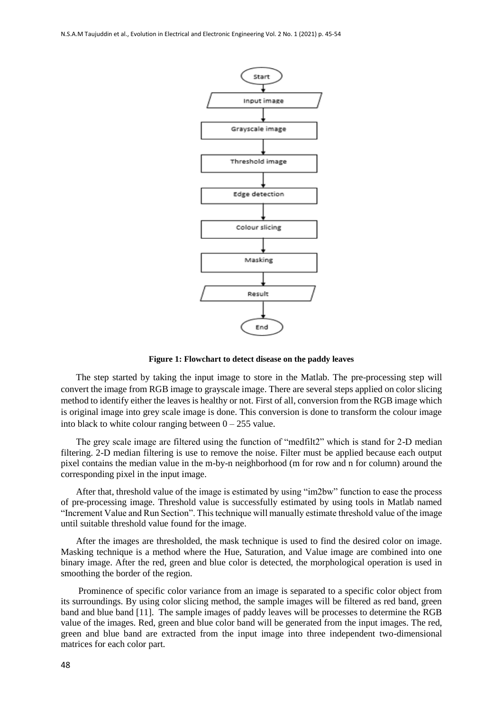

**Figure 1: Flowchart to detect disease on the paddy leaves**

The step started by taking the input image to store in the Matlab. The pre-processing step will convert the image from RGB image to grayscale image. There are several steps applied on color slicing method to identify either the leaves is healthy or not. First of all, conversion from the RGB image which is original image into grey scale image is done. This conversion is done to transform the colour image into black to white colour ranging between  $0 - 255$  value.

The grey scale image are filtered using the function of "medfilt2" which is stand for 2-D median filtering. 2-D median filtering is use to remove the noise. Filter must be applied because each output pixel contains the median value in the m-by-n neighborhood (m for row and n for column) around the corresponding pixel in the input image.

After that, threshold value of the image is estimated by using "im2bw" function to ease the process of pre-processing image. Threshold value is successfully estimated by using tools in Matlab named "Increment Value and Run Section". This technique will manually estimate threshold value of the image until suitable threshold value found for the image.

After the images are thresholded, the mask technique is used to find the desired color on image. Masking technique is a method where the Hue, Saturation, and Value image are combined into one binary image. After the red, green and blue color is detected, the morphological operation is used in smoothing the border of the region.

Prominence of specific color variance from an image is separated to a specific color object from its surroundings. By using color slicing method, the sample images will be filtered as red band, green band and blue band [11]. The sample images of paddy leaves will be processes to determine the RGB value of the images. Red, green and blue color band will be generated from the input images. The red, green and blue band are extracted from the input image into three independent two-dimensional matrices for each color part.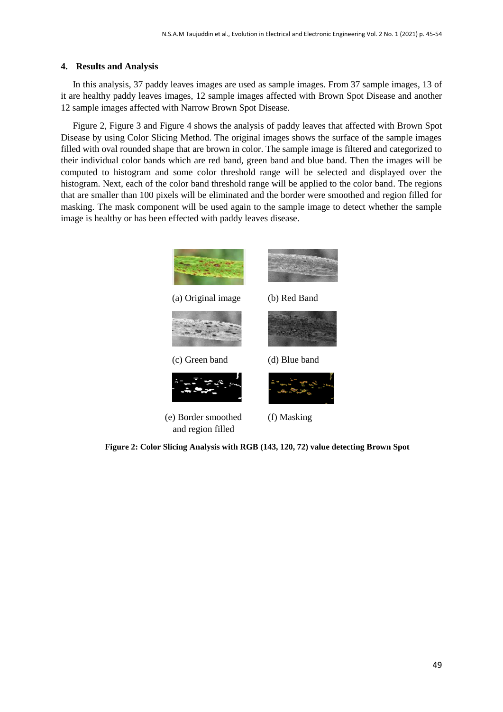#### **4. Results and Analysis**

In this analysis, 37 paddy leaves images are used as sample images. From 37 sample images, 13 of it are healthy paddy leaves images, 12 sample images affected with Brown Spot Disease and another 12 sample images affected with Narrow Brown Spot Disease.

Figure 2, Figure 3 and Figure 4 shows the analysis of paddy leaves that affected with Brown Spot Disease by using Color Slicing Method. The original images shows the surface of the sample images filled with oval rounded shape that are brown in color. The sample image is filtered and categorized to their individual color bands which are red band, green band and blue band. Then the images will be computed to histogram and some color threshold range will be selected and displayed over the histogram. Next, each of the color band threshold range will be applied to the color band. The regions that are smaller than 100 pixels will be eliminated and the border were smoothed and region filled for masking. The mask component will be used again to the sample image to detect whether the sample image is healthy or has been effected with paddy leaves disease.



**Figure 2: Color Slicing Analysis with RGB (143, 120, 72) value detecting Brown Spot**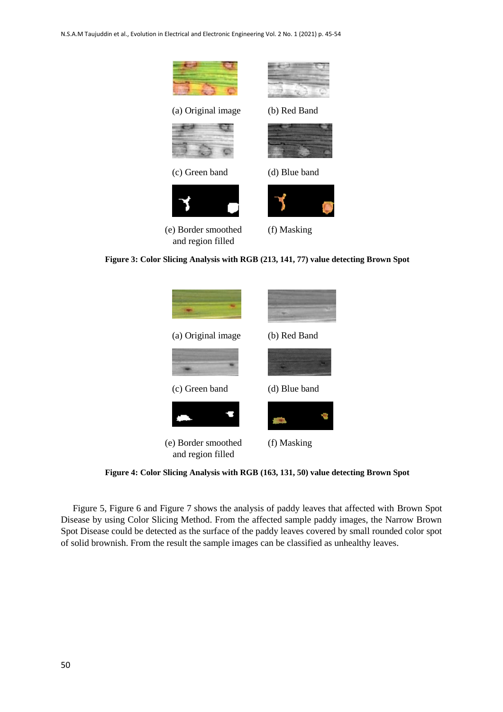

**Figure 3: Color Slicing Analysis with RGB (213, 141, 77) value detecting Brown Spot**



**Figure 4: Color Slicing Analysis with RGB (163, 131, 50) value detecting Brown Spot**

Figure 5, Figure 6 and Figure 7 shows the analysis of paddy leaves that affected with Brown Spot Disease by using Color Slicing Method. From the affected sample paddy images, the Narrow Brown Spot Disease could be detected as the surface of the paddy leaves covered by small rounded color spot of solid brownish. From the result the sample images can be classified as unhealthy leaves.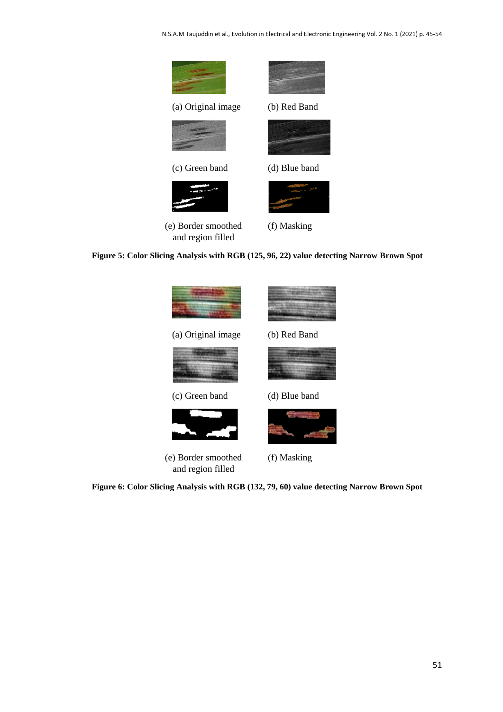N.S.A.M Taujuddin et al., Evolution in Electrical and Electronic Engineering Vol. 2 No. 1 (2021) p. 45-54



**Figure 5: Color Slicing Analysis with RGB (125, 96, 22) value detecting Narrow Brown Spot**



**Figure 6: Color Slicing Analysis with RGB (132, 79, 60) value detecting Narrow Brown Spot**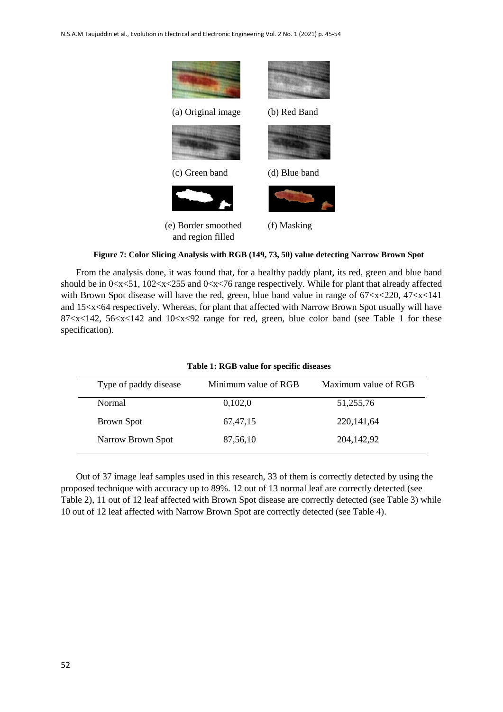

**Figure 7: Color Slicing Analysis with RGB (149, 73, 50) value detecting Narrow Brown Spot**

From the analysis done, it was found that, for a healthy paddy plant, its red, green and blue band should be in  $0 < x < 51$ ,  $102 < x < 255$  and  $0 < x < 76$  range respectively. While for plant that already affected with Brown Spot disease will have the red, green, blue band value in range of  $67 < x < 220$ ,  $47 < x < 141$ and 15<x<64 respectively. Whereas, for plant that affected with Narrow Brown Spot usually will have 87<x<142, 56<x<142 and 10<x<92 range for red, green, blue color band (see Table 1 for these specification).

| Type of paddy disease | Minimum value of RGB | Maximum value of RGB |
|-----------------------|----------------------|----------------------|
| Normal                | 0,102,0              | 51,255,76            |
| <b>Brown Spot</b>     | 67, 47, 15           | 220, 141, 64         |
| Narrow Brown Spot     | 87,56,10             | 204,142,92           |

# **Table 1: RGB value for specific diseases**

Out of 37 image leaf samples used in this research, 33 of them is correctly detected by using the proposed technique with accuracy up to 89%. 12 out of 13 normal leaf are correctly detected (see Table 2), 11 out of 12 leaf affected with Brown Spot disease are correctly detected (see Table 3) while 10 out of 12 leaf affected with Narrow Brown Spot are correctly detected (see Table 4).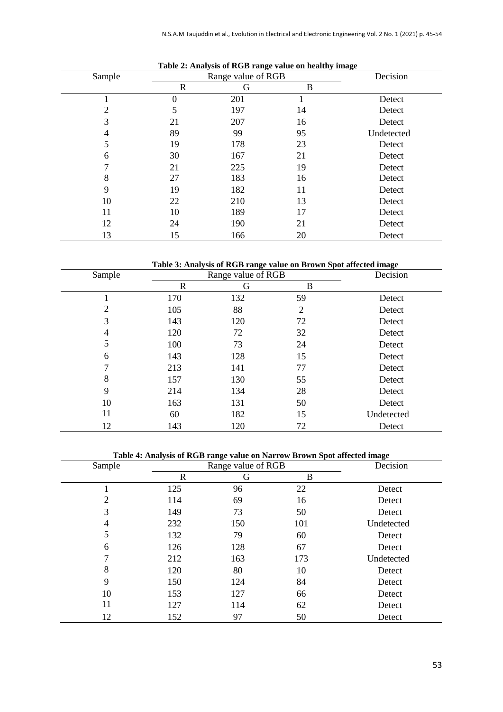| Sample | -<br>Range value of RGB |     | Decision |            |
|--------|-------------------------|-----|----------|------------|
|        | $\mathbf R$             | G   | B        |            |
|        | 0                       | 201 |          | Detect     |
| 2      | 5                       | 197 | 14       | Detect     |
| 3      | 21                      | 207 | 16       | Detect     |
| 4      | 89                      | 99  | 95       | Undetected |
| 5      | 19                      | 178 | 23       | Detect     |
| 6      | 30                      | 167 | 21       | Detect     |
| ⇁      | 21                      | 225 | 19       | Detect     |
| 8      | 27                      | 183 | 16       | Detect     |
| 9      | 19                      | 182 | 11       | Detect     |
| 10     | 22                      | 210 | 13       | Detect     |
| 11     | 10                      | 189 | 17       | Detect     |
| 12     | 24                      | 190 | 21       | Detect     |
| 13     | 15                      | 166 | 20       | Detect     |

## **Table 2: Analysis of RGB range value on healthy image**

**Table 3: Analysis of RGB range value on Brown Spot affected image**

| Sample | Range value of RGB |     |                | Decision   |
|--------|--------------------|-----|----------------|------------|
|        | R                  | G   | B              |            |
|        | 170                | 132 | 59             | Detect     |
| 2      | 105                | 88  | $\overline{2}$ | Detect     |
| 3      | 143                | 120 | 72             | Detect     |
| 4      | 120                | 72  | 32             | Detect     |
| 5      | 100                | 73  | 24             | Detect     |
| 6      | 143                | 128 | 15             | Detect     |
| 7      | 213                | 141 | 77             | Detect     |
| 8      | 157                | 130 | 55             | Detect     |
| 9      | 214                | 134 | 28             | Detect     |
| 10     | 163                | 131 | 50             | Detect     |
| 11     | 60                 | 182 | 15             | Undetected |
| 12     | 143                | 120 | 72             | Detect     |

# **Table 4: Analysis of RGB range value on Narrow Brown Spot affected image**

| Sample | Range value of RGB |     |     | Decision   |
|--------|--------------------|-----|-----|------------|
|        | $\mathbb{R}$       | G   | B   |            |
|        | 125                | 96  | 22  | Detect     |
| 2      | 114                | 69  | 16  | Detect     |
| 3      | 149                | 73  | 50  | Detect     |
| 4      | 232                | 150 | 101 | Undetected |
| 5      | 132                | 79  | 60  | Detect     |
| 6      | 126                | 128 | 67  | Detect     |
| 7      | 212                | 163 | 173 | Undetected |
| 8      | 120                | 80  | 10  | Detect     |
| 9      | 150                | 124 | 84  | Detect     |
| 10     | 153                | 127 | 66  | Detect     |
| 11     | 127                | 114 | 62  | Detect     |
| 12     | 152                | 97  | 50  | Detect     |